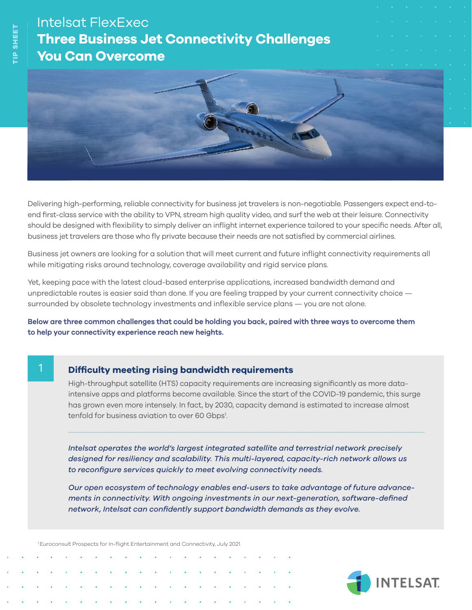# Intelsat FlexExec **Three Business Jet Connectivity Challenges You Can Overcome**



Delivering high-performing, reliable connectivity for business jet travelers is non-negotiable. Passengers expect end-toend first-class service with the ability to VPN, stream high quality video, and surf the web at their leisure. Connectivity should be designed with flexibility to simply deliver an inflight internet experience tailored to your specific needs. After all, business jet travelers are those who fly private because their needs are not satisfied by commercial airlines.

Business jet owners are looking for a solution that will meet current and future inflight connectivity requirements all while mitigating risks around technology, coverage availability and rigid service plans.

Yet, keeping pace with the latest cloud-based enterprise applications, increased bandwidth demand and unpredictable routes is easier said than done. If you are feeling trapped by your current connectivity choice surrounded by obsolete technology investments and inflexible service plans — you are not alone.

**Below are three common challenges that could be holding you back, paired with three ways to overcome them to help your connectivity experience reach new heights.**

## 1

### **Difficulty meeting rising bandwidth requirements**

High-throughput satellite (HTS) capacity requirements are increasing significantly as more dataintensive apps and platforms become available. Since the start of the COVID-19 pandemic, this surge has grown even more intensely. In fact, by 2030, capacity demand is estimated to increase almost tenfold for business aviation to over 60 Gbps<sup>1</sup>.

...........................................................................................................................................................................................................................................................

*Intelsat operates the world's largest integrated satellite and terrestrial network precisely designed for resiliency and scalability. This multi-layered, capacity-rich network allows us to reconfigure services quickly to meet evolving connectivity needs.* 

*Our open ecosystem of technology enables end-users to take advantage of future advancements in connectivity. With ongoing investments in our next-generation, software-defined network, Intelsat can confidently support bandwidth demands as they evolve.*

1 Euroconsult Prospects for In-flight Entertainment and Connectivity, July 2021.



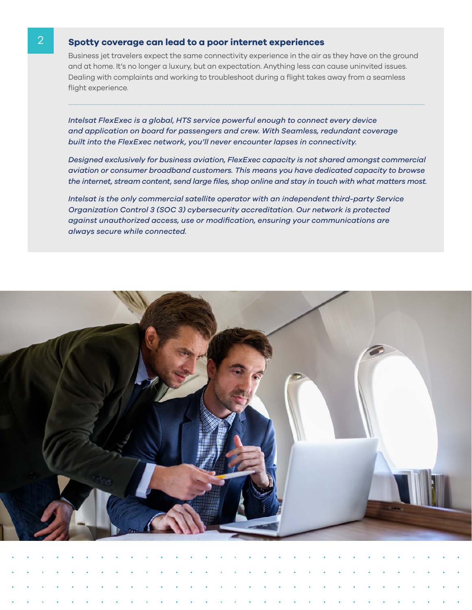#### **Spotty coverage can lead to a poor internet experiences**

2

Business jet travelers expect the same connectivity experience in the air as they have on the ground and at home. It's no longer a luxury, but an expectation. Anything less can cause uninvited issues. Dealing with complaints and working to troubleshoot during a flight takes away from a seamless flight experience.

...........................................................................................................................................................................................................................................................

*Intelsat FlexExec is a global, HTS service powerful enough to connect every device and application on board for passengers and crew. With Seamless, redundant coverage built into the FlexExec network, you'll never encounter lapses in connectivity.* 

*Designed exclusively for business aviation, FlexExec capacity is not shared amongst commercial aviation or consumer broadband customers. This means you have dedicated capacity to browse the internet, stream content, send large files, shop online and stay in touch with what matters most.*

*Intelsat is the only commercial satellite operator with an independent third-party Service Organization Control 3 (SOC 3) cybersecurity accreditation. Our network is protected against unauthorized access, use or modification, ensuring your communications are always secure while connected.*

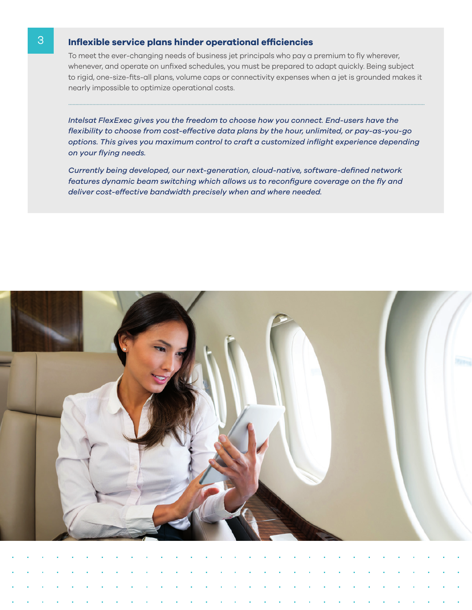### **Inflexible service plans hinder operational efficiencies**

3

To meet the ever-changing needs of business jet principals who pay a premium to fly wherever, whenever, and operate on unfixed schedules, you must be prepared to adapt quickly. Being subject to rigid, one-size-fits-all plans, volume caps or connectivity expenses when a jet is grounded makes it nearly impossible to optimize operational costs.

...........................................................................................................................................................................................................................................................

*Intelsat FlexExec gives you the freedom to choose how you connect. End-users have the flexibility to choose from cost-effective data plans by the hour, unlimited, or pay-as-you-go options. This gives you maximum control to craft a customized inflight experience depending on your flying needs.*

*Currently being developed, our next-generation, cloud-native, software-defined network features dynamic beam switching which allows us to reconfigure coverage on the fly and deliver cost-effective bandwidth precisely when and where needed.*